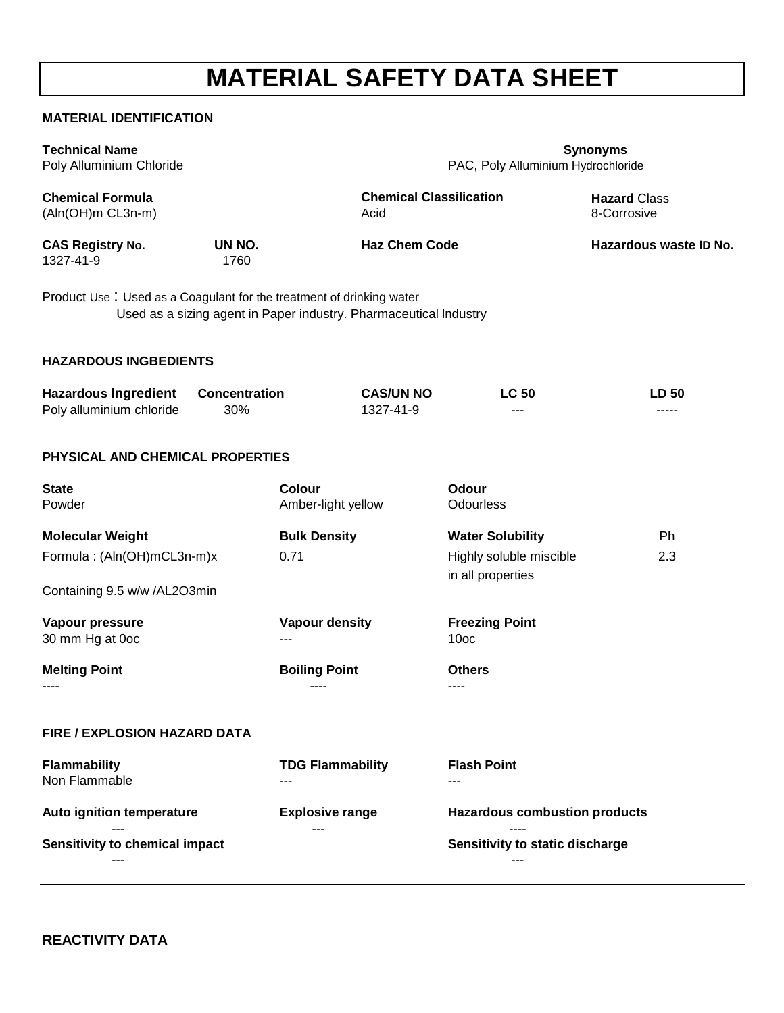# **MATERIAL SAFETY DATA SHEET**

#### **MATERIAL IDENTIFICATION**

| <b>Technical Name</b><br>Poly Alluminium Chloride                                                                                         | <b>Synonyms</b><br>PAC, Poly Alluminium Hydrochloride |                                        |                                           |                                    |  |
|-------------------------------------------------------------------------------------------------------------------------------------------|-------------------------------------------------------|----------------------------------------|-------------------------------------------|------------------------------------|--|
| <b>Chemical Formula</b><br>(Aln(OH)m CL3n-m)                                                                                              |                                                       | <b>Chemical Classilication</b><br>Acid |                                           | <b>Hazard Class</b><br>8-Corrosive |  |
| <b>CAS Registry No.</b><br>UN NO.<br>1327-41-9<br>1760                                                                                    |                                                       | <b>Haz Chem Code</b>                   |                                           | Hazardous waste ID No.             |  |
| Product Use: Used as a Coagulant for the treatment of drinking water<br>Used as a sizing agent in Paper industry. Pharmaceutical Industry |                                                       |                                        |                                           |                                    |  |
| <b>HAZARDOUS INGBEDIENTS</b>                                                                                                              |                                                       |                                        |                                           |                                    |  |
| <b>Hazardous Ingredient</b><br>Poly alluminium chloride<br>30%                                                                            | <b>Concentration</b>                                  | <b>CAS/UN NO</b><br>1327-41-9          | <b>LC 50</b>                              | <b>LD 50</b><br>-----              |  |
| PHYSICAL AND CHEMICAL PROPERTIES                                                                                                          |                                                       |                                        |                                           |                                    |  |
| <b>State</b><br>Powder                                                                                                                    | <b>Colour</b><br>Amber-light yellow                   |                                        | Odour<br>Odourless                        |                                    |  |
| <b>Molecular Weight</b>                                                                                                                   | <b>Bulk Density</b>                                   |                                        | <b>Water Solubility</b>                   | Ph                                 |  |
| Formula: (Aln(OH)mCL3n-m)x                                                                                                                | 0.71                                                  |                                        | Highly soluble miscible                   | 2.3                                |  |
| Containing 9.5 w/w /AL2O3min                                                                                                              |                                                       |                                        | in all properties                         |                                    |  |
| Vapour pressure<br>30 mm Hg at 0oc                                                                                                        | <b>Vapour density</b>                                 |                                        | <b>Freezing Point</b><br>10 <sub>oc</sub> |                                    |  |
| <b>Melting Point</b>                                                                                                                      | <b>Boiling Point</b>                                  |                                        | <b>Others</b>                             |                                    |  |
| <b>FIRE / EXPLOSION HAZARD DATA</b>                                                                                                       |                                                       |                                        |                                           |                                    |  |
| <b>Flammability</b><br>Non Flammable                                                                                                      | <b>TDG Flammability</b>                               |                                        | <b>Flash Point</b><br>$- - -$             |                                    |  |
| Auto ignition temperature                                                                                                                 | <b>Explosive range</b>                                |                                        | <b>Hazardous combustion products</b>      |                                    |  |
| Sensitivity to chemical impact                                                                                                            |                                                       |                                        | Sensitivity to static discharge           |                                    |  |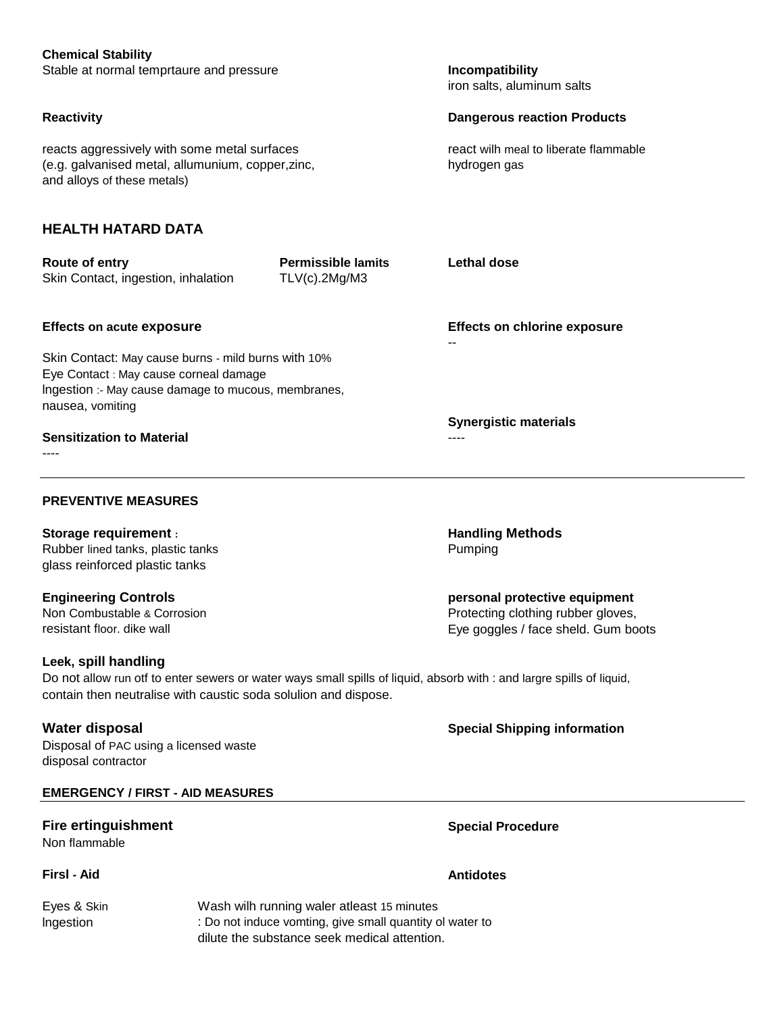| <b>Chemical Stability</b><br>Stable at normal temprtaure and pressure                                                                                                                                            |                                                                           | Incompatibility                                       |  |  |
|------------------------------------------------------------------------------------------------------------------------------------------------------------------------------------------------------------------|---------------------------------------------------------------------------|-------------------------------------------------------|--|--|
|                                                                                                                                                                                                                  | iron salts, aluminum salts                                                |                                                       |  |  |
| <b>Reactivity</b>                                                                                                                                                                                                | <b>Dangerous reaction Products</b>                                        |                                                       |  |  |
| reacts aggressively with some metal surfaces<br>(e.g. galvanised metal, allumunium, copper, zinc,<br>and alloys of these metals)                                                                                 |                                                                           | react wilh meal to liberate flammable<br>hydrogen gas |  |  |
| <b>HEALTH HATARD DATA</b>                                                                                                                                                                                        |                                                                           |                                                       |  |  |
| Route of entry<br>Skin Contact, ingestion, inhalation                                                                                                                                                            | <b>Permissible lamits</b><br>TLV(c).2Mg/M3                                | <b>Lethal dose</b>                                    |  |  |
| <b>Effects on acute exposure</b>                                                                                                                                                                                 | <b>Effects on chlorine exposure</b>                                       |                                                       |  |  |
| Skin Contact: May cause burns - mild burns with 10%<br>Eye Contact : May cause corneal damage<br>Ingestion :- May cause damage to mucous, membranes,<br>nausea, vomiting                                         |                                                                           |                                                       |  |  |
| <b>Sensitization to Material</b>                                                                                                                                                                                 |                                                                           | <b>Synergistic materials</b><br>----                  |  |  |
|                                                                                                                                                                                                                  |                                                                           |                                                       |  |  |
| <b>PREVENTIVE MEASURES</b>                                                                                                                                                                                       |                                                                           |                                                       |  |  |
| <b>Storage requirement:</b><br>Rubber lined tanks, plastic tanks<br>glass reinforced plastic tanks                                                                                                               |                                                                           | <b>Handling Methods</b><br>Pumping                    |  |  |
| <b>Engineering Controls</b>                                                                                                                                                                                      |                                                                           | personal protective equipment                         |  |  |
| Non Combustable & Corrosion<br>resistant floor. dike wall                                                                                                                                                        | Protecting clothing rubber gloves,<br>Eye goggles / face sheld. Gum boots |                                                       |  |  |
| Leek, spill handling<br>Do not allow run otf to enter sewers or water ways small spills of liquid, absorb with : and largre spills of liquid,<br>contain then neutralise with caustic soda solulion and dispose. |                                                                           |                                                       |  |  |
| <b>Water disposal</b><br>Disposal of PAC using a licensed waste<br>disposal contractor                                                                                                                           |                                                                           | <b>Special Shipping information</b>                   |  |  |
| <b>EMERGENCY / FIRST - AID MEASURES</b>                                                                                                                                                                          |                                                                           |                                                       |  |  |
| <b>Fire ertinguishment</b><br>Non flammable                                                                                                                                                                      |                                                                           | <b>Special Procedure</b>                              |  |  |
| FirsI - Aid                                                                                                                                                                                                      |                                                                           | <b>Antidotes</b>                                      |  |  |

Eyes & Skin Wash wilh running waler atleast 15 minutes Ingestion **interproduce in the U.S.** I Do not induce vomting, give small quantity ol water to dilute the substance seek medical attention.